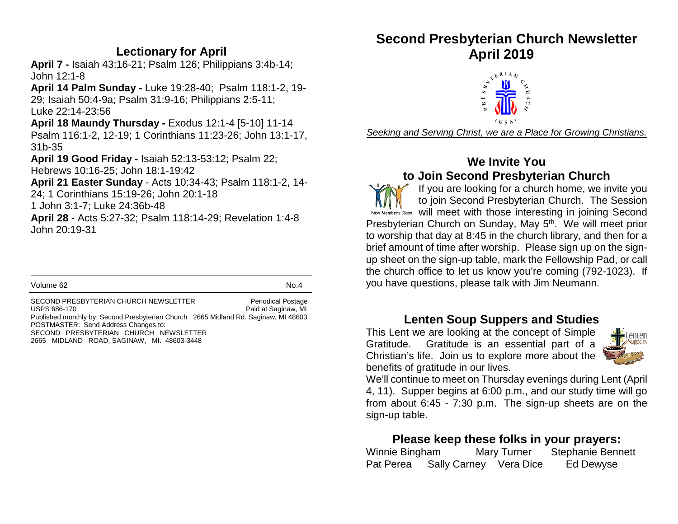#### **Lectionary for April**

**April 7 -** Isaiah 43:16-21; Psalm 126; Philippians 3:4b-14; John 12:1-8

**April 14 Palm Sunday -** Luke 19:28-40; Psalm 118:1-2, 19- 29; Isaiah 50:4-9a; Psalm 31:9-16; Philippians 2:5-11; Luke 22:14-23:56

**April 18 Maundy Thursday -** Exodus 12:1-4 [5-10] 11-14 Psalm 116:1-2, 12-19; 1 Corinthians 11:23-26; John 13:1-17, 31b-35

**April 19 Good Friday -** Isaiah 52:13-53:12; Psalm 22; Hebrews 10:16-25; John 18:1-19:42

**April 21 Easter Sunday** - Acts 10:34-43; Psalm 118:1-2, 14- 24; 1 Corinthians 15:19-26; John 20:1-18

1 John 3:1-7; Luke 24:36b-48

**April 28** - Acts 5:27-32; Psalm 118:14-29; Revelation 1:4-8 John 20:19-31

Volume 62 No.4

SECOND PRESBYTERIAN CHURCH NEWSLETTER Periodical Postage USPS 686-170 **Paid at Saginaw, MI** Published monthly by: Second Presbyterian Church 2665 Midland Rd. Saginaw, MI 48603 POSTMASTER: Send Address Changes to: SECOND PRESBYTERIAN CHURCH NEWSLETTER 2665 MIDLAND ROAD, SAGINAW, MI. 48603-3448

# **Second Presbyterian Church Newsletter April 2019**



*Seeking and Serving Christ, we are a Place for Growing Christians.*

### **We Invite You to Join Second Presbyterian Church**

If you are looking for a church home, we invite you to join Second Presbyterian Church. The Session New Members Class will meet with those interesting in joining Second Presbyterian Church on Sunday, May 5<sup>th</sup>. We will meet prior to worship that day at 8:45 in the church library, and then for a brief amount of time after worship. Please sign up on the signup sheet on the sign-up table, mark the Fellowship Pad, or call the church office to let us know you're coming (792-1023). If you have questions, please talk with Jim Neumann.

## **Lenten Soup Suppers and Studies**

This Lent we are looking at the concept of Simple Gratitude. Gratitude is an essential part of a Christian's life. Join us to explore more about the benefits of gratitude in our lives.



We'll continue to meet on Thursday evenings during Lent (April 4, 11). Supper begins at 6:00 p.m., and our study time will go from about 6:45 - 7:30 p.m. The sign-up sheets are on the sign-up table.

## **Please keep these folks in your prayers:**

| Winnie Bingham |                        | Mary Turner | <b>Stephanie Bennett</b> |  |
|----------------|------------------------|-------------|--------------------------|--|
| Pat Perea      | Sally Carney Vera Dice |             | Ed Dewyse                |  |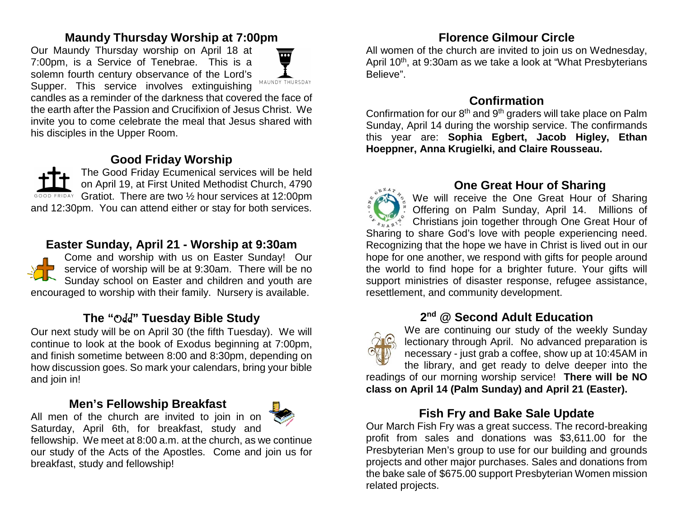### **Maundy Thursday Worship at 7:00pm**

Our Maundy Thursday worship on April 18 at 7:00pm, is a Service of Tenebrae. This is a solemn fourth century observance of the Lord's Supper. This service involves extinguishing



candles as a reminder of the darkness that covered the face of the earth after the Passion and Crucifixion of Jesus Christ. We invite you to come celebrate the meal that Jesus shared with his disciples in the Upper Room.

### **Good Friday Worship**

The Good Friday Ecumenical services will be held on April 19, at First United Methodist Church, 4790 GOOD FRIDAY Gratiot. There are two 1/2 hour services at 12:00pm and 12:30pm. You can attend either or stay for both services.

### **Easter Sunday, April 21 - Worship at 9:30am**



Come and worship with us on Easter Sunday! Our service of worship will be at 9:30am. There will be no Sunday school on Easter and children and youth are encouraged to worship with their family. Nursery is available.

## **The "**Odd**" Tuesday Bible Study**

Our next study will be on April 30 (the fifth Tuesday). We will continue to look at the book of Exodus beginning at 7:00pm, and finish sometime between 8:00 and 8:30pm, depending on how discussion goes. So mark your calendars, bring your bible and join in!

#### **Men's Fellowship Breakfast**



Saturday, April 6th, for breakfast, study and fellowship. We meet at 8:00 a.m. at the church, as we continue our study of the Acts of the Apostles. Come and join us for breakfast, study and fellowship!

### **Florence Gilmour Circle**

All women of the church are invited to join us on Wednesday, April 10<sup>th</sup>, at 9:30am as we take a look at "What Presbyterians" Believe".

### **Confirmation**

Confirmation for our 8<sup>th</sup> and 9<sup>th</sup> graders will take place on Palm Sunday, April 14 during the worship service. The confirmands this year are: **Sophia Egbert, Jacob Higley, Ethan Hoeppner, Anna Krugielki, and Claire Rousseau.**

**One Great Hour of Sharing** We will receive the One Great Hour of Sharing Offering on Palm Sunday, April 14.Millions of Christians join together through One Great Hour of Sharing to share God's love with people experiencing need. Recognizing that the hope we have in Christ is lived out in our hope for one another, we respond with gifts for people around the world to find hope for a brighter future. Your gifts will support ministries of disaster response, refugee assistance, resettlement, and community development.

## **2nd @ Second Adult Education**



We are continuing our study of the weekly Sunday lectionary through April. No advanced preparation is necessary - just grab a coffee, show up at 10:45AM in the library, and get ready to delve deeper into the

readings of our morning worship service! **There will be NO class on April 14 (Palm Sunday) and April 21 (Easter).**

## **Fish Fry and Bake Sale Update**

Our March Fish Fry was a great success. The record-breaking profit from sales and donations was \$3,611.00 for the Presbyterian Men's group to use for our building and grounds projects and other major purchases. Sales and donations from the bake sale of \$675.00 support Presbyterian Women mission related projects.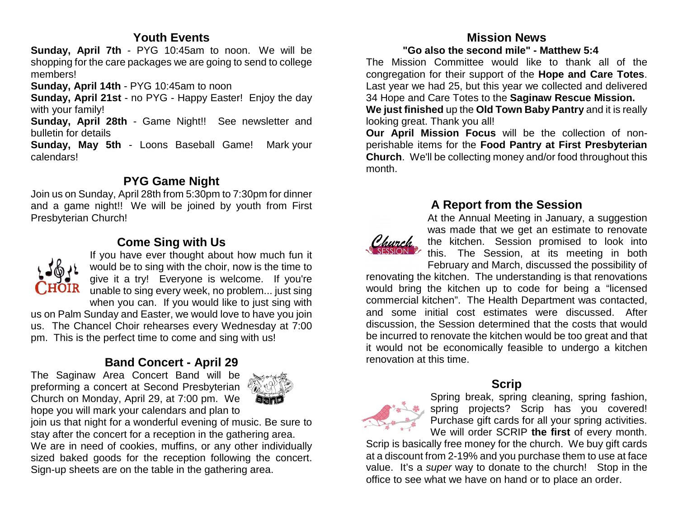#### **Youth Events**

**Sunday, April 7th** - PYG 10:45am to noon. We will be shopping for the care packages we are going to send to college members!

**Sunday, April 14th** - PYG 10:45am to noon

**Sunday, April 21st** - no PYG - Happy Easter! Enjoy the day with your family!

**Sunday, April 28th** - Game Night!! See newsletter and bulletin for details

**Sunday, May 5th** - Loons Baseball Game! Mark your calendars!

#### **PYG Game Night**

Join us on Sunday, April 28th from 5:30pm to 7:30pm for dinner and a game night!! We will be joined by youth from First Presbyterian Church!

## **Come Sing with Us**



If you have ever thought about how much fun it would be to sing with the choir, now is the time to give it a try! Everyone is welcome. If you're unable to sing every week, no problem... just sing when you can. If you would like to just sing with

us on Palm Sunday and Easter, we would love to have you join us. The Chancel Choir rehearses every Wednesday at 7:00 pm. This is the perfect time to come and sing with us!

## **Band Concert - April 29**

The Saginaw Area Concert Band will be preforming a concert at Second Presbyterian Church on Monday, April 29, at 7:00 pm. We hope you will mark your calendars and plan to



join us that night for a wonderful evening of music. Be sure to stay after the concert for a reception in the gathering area.We are in need of cookies, muffins, or any other individually sized baked goods for the reception following the concert. Sign-up sheets are on the table in the gathering area.

## **Mission News**

 **"Go also the second mile" - Matthew 5:4**

The Mission Committee would like to thank all of the congregation for their support of the **Hope and Care Totes**. Last year we had 25, but this year we collected and delivered 34 Hope and Care Totes to the **Saginaw Rescue Mission. We just finished** up the **Old Town Baby Pantry** and it is really looking great. Thank you all!

**Our April Mission Focus** will be the collection of nonperishable items for the **Food Pantry at First Presbyterian Church**. We'll be collecting money and/or food throughout this month.

### **A Report from the Session**

At the Annual Meeting in January, a suggestion was made that we get an estimate to renovate the kitchen. Session promised to look into this. The Session, at its meeting in both February and March, discussed the possibility of

renovating the kitchen. The understanding is that renovations would bring the kitchen up to code for being a "licensed commercial kitchen". The Health Department was contacted, and some initial cost estimates were discussed. After discussion, the Session determined that the costs that would be incurred to renovate the kitchen would be too great and that it would not be economically feasible to undergo a kitchen renovation at this time.

## **Scrip**



Spring break, spring cleaning, spring fashion, spring projects? Scrip has you covered! Purchase gift cards for all your spring activities. We will order SCRIP **the first** of every month.

Scrip is basically free money for the church. We buy gift cards at a discount from 2-19% and you purchase them to use at face value. It's a *super* way to donate to the church! Stop in the office to see what we have on hand or to place an order.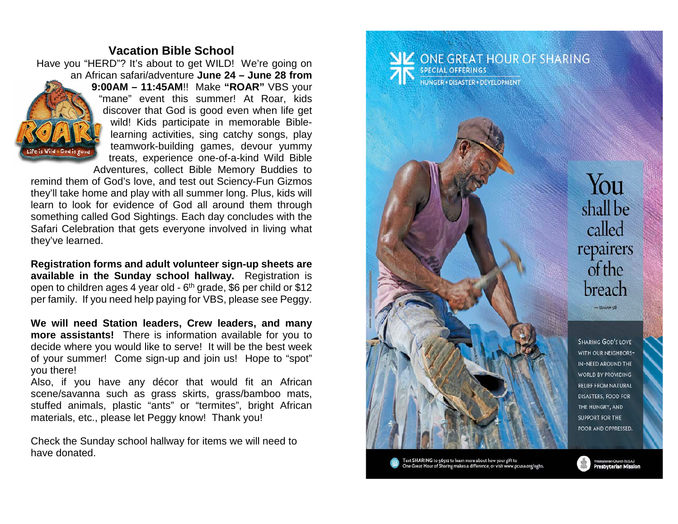#### **Vacation Bible School**

 Have you "HERD"? It's about to get WILD! We're going on an African safari/adventure **June 24 – June 28 from 9:00AM – 11:45AM**!! Make **"ROAR"** VBS your "mane" event this summer! At Roar, kids discover that God is good even when life get wild! Kids participate in memorable Biblelearning activities, sing catchy songs, play teamwork-building games, devour yummy Pe is Wild - God is good treats, experience one-of-a-kind Wild Bible Adventures, collect Bible Memory Buddies to

remind them of God's love, and test out Sciency-Fun Gizmos they'll take home and play with all summer long. Plus, kids will learn to look for evidence of God all around them through something called God Sightings. Each day concludes with the Safari Celebration that gets everyone involved in living what they've learned.

**Registration forms and adult volunteer sign-up sheets are available in the Sunday school hallway.** Registration is open to children ages 4 year old -  $6<sup>th</sup>$  grade, \$6 per child or \$12 per family. If you need help paying for VBS, please see Peggy.

**We will need Station leaders, Crew leaders, and many more assistants!** There is information available for you to decide where you would like to serve! It will be the best week of your summer! Come sign-up and join us! Hope to "spot" you there!

Also, if you have any décor that would fit an African scene/savanna such as grass skirts, grass/bamboo mats, stuffed animals, plastic "ants" or "termites", bright African materials, etc., please let Peggy know! Thank you!

Check the Sunday school hallway for items we will need to have donated.

**NV** ONE GREAT HOUR OF SHARING SPECIAL OFFERINGS **IUNGER · DISASTER · DEVELOPMENT** 



Text SHARING to 56512 to learn more about how your gift to<br>One Great Hour of Sharing makes a difference, or visit www.pcusa.org/oghs

You shall be called repairers  $\int$  of the breach  $-$  ISAIAH<sub>5</sub>8

SHARING GOD'S LOVE WITH OUR NEIGHBORS-IN-NEED AROUND THE WORLD BY PROVIDING **RELIEF FROM NATURAL** DISASTERS, FOOD FOR THE HUNGRY, AND **SUPPORT FOR THE** POOR AND OPPRESSED.